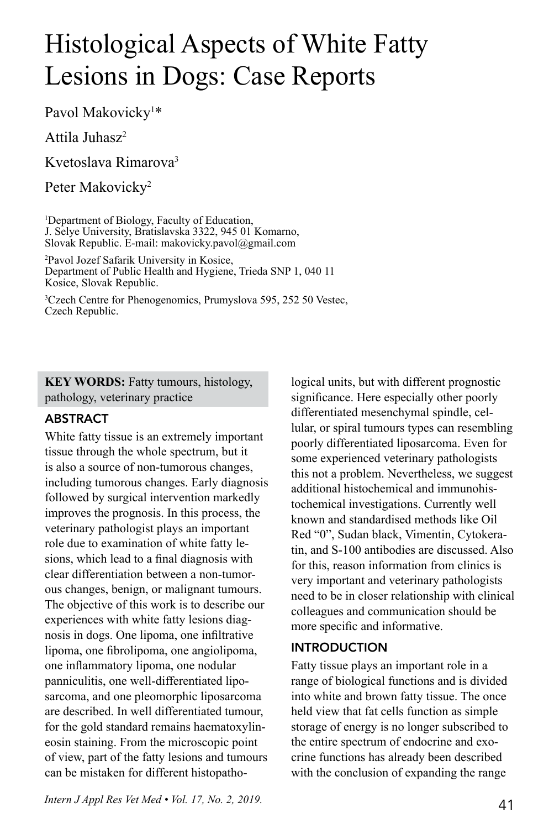# Histological Aspects of White Fatty Lesions in Dogs: Case Reports

Pavol Makovicky<sup>1\*</sup>

Attila Juhasz2

Kvetoslava Rimarova3

Peter Makovicky<sup>2</sup>

1 Department of Biology, Faculty of Education, J. Selye University, Bratislavska 3322, 945 01 Komarno, Slovak Republic. E-mail: makovicky.pavol@gmail.com

2 Pavol Jozef Safarik University in Kosice, Department of Public Health and Hygiene, Trieda SNP 1, 040 11 Kosice, Slovak Republic.

3 Czech Centre for Phenogenomics, Prumyslova 595, 252 50 Vestec, Czech Republic.

**KEY WORDS:** Fatty tumours, histology, pathology, veterinary practice

# ABSTRACT

White fatty tissue is an extremely important tissue through the whole spectrum, but it is also a source of non-tumorous changes, including tumorous changes. Early diagnosis followed by surgical intervention markedly improves the prognosis. In this process, the veterinary pathologist plays an important role due to examination of white fatty lesions, which lead to a final diagnosis with clear differentiation between a non-tumorous changes, benign, or malignant tumours. The objective of this work is to describe our experiences with white fatty lesions diagnosis in dogs. One lipoma, one infiltrative lipoma, one fibrolipoma, one angiolipoma, one inflammatory lipoma, one nodular panniculitis, one well-differentiated liposarcoma, and one pleomorphic liposarcoma are described. In well differentiated tumour, for the gold standard remains haematoxylineosin staining. From the microscopic point of view, part of the fatty lesions and tumours can be mistaken for different histopathological units, but with different prognostic significance. Here especially other poorly differentiated mesenchymal spindle, cellular, or spiral tumours types can resembling poorly differentiated liposarcoma. Even for some experienced veterinary pathologists this not a problem. Nevertheless, we suggest additional histochemical and immunohistochemical investigations. Currently well known and standardised methods like Oil Red "0", Sudan black, Vimentin, Cytokeratin, and S-100 antibodies are discussed. Also for this, reason information from clinics is very important and veterinary pathologists need to be in closer relationship with clinical colleagues and communication should be more specific and informative.

## INTRODUCTION

Fatty tissue plays an important role in a range of biological functions and is divided into white and brown fatty tissue. The once held view that fat cells function as simple storage of energy is no longer subscribed to the entire spectrum of endocrine and exocrine functions has already been described with the conclusion of expanding the range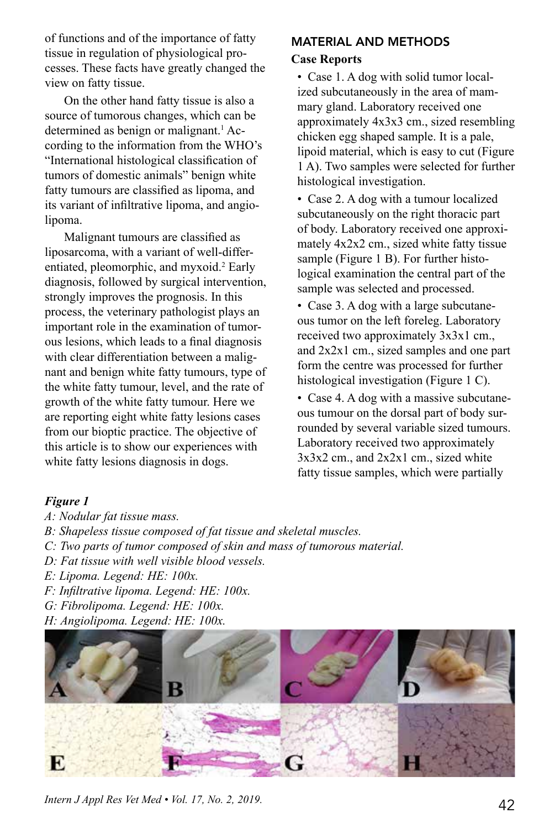of functions and of the importance of fatty tissue in regulation of physiological processes. These facts have greatly changed the view on fatty tissue.

On the other hand fatty tissue is also a source of tumorous changes, which can be determined as benign or malignant.<sup>1</sup> According to the information from the WHO's "International histological classification of tumors of domestic animals" benign white fatty tumours are classified as lipoma, and its variant of infiltrative lipoma, and angiolipoma.

Malignant tumours are classified as liposarcoma, with a variant of well-differentiated, pleomorphic, and myxoid.<sup>2</sup> Early diagnosis, followed by surgical intervention, strongly improves the prognosis. In this process, the veterinary pathologist plays an important role in the examination of tumorous lesions, which leads to a final diagnosis with clear differentiation between a malignant and benign white fatty tumours, type of the white fatty tumour, level, and the rate of growth of the white fatty tumour. Here we are reporting eight white fatty lesions cases from our bioptic practice. The objective of this article is to show our experiences with white fatty lesions diagnosis in dogs.

# MATERIAL AND METHODS

### **Case Reports**

• Case 1. A dog with solid tumor localized subcutaneously in the area of mammary gland. Laboratory received one approximately 4x3x3 cm., sized resembling chicken egg shaped sample. It is a pale, lipoid material, which is easy to cut (Figure 1 A). Two samples were selected for further histological investigation.

• Case 2. A dog with a tumour localized subcutaneously on the right thoracic part of body. Laboratory received one approximately 4x2x2 cm., sized white fatty tissue sample (Figure 1 B). For further histological examination the central part of the sample was selected and processed.

• Case 3. A dog with a large subcutaneous tumor on the left foreleg. Laboratory received two approximately 3x3x1 cm., and 2x2x1 cm., sized samples and one part form the centre was processed for further histological investigation (Figure 1 C).

• Case 4. A dog with a massive subcutaneous tumour on the dorsal part of body surrounded by several variable sized tumours. Laboratory received two approximately  $3x3x2$  cm., and  $2x2x1$  cm., sized white fatty tissue samples, which were partially

#### *Figure 1*

- *A: Nodular fat tissue mass.*
- *B: Shapeless tissue composed of fat tissue and skeletal muscles.*
- *C: Two parts of tumor composed of skin and mass of tumorous material.*
- *D: Fat tissue with well visible blood vessels.*
- *E: Lipoma. Legend: HE: 100x.*
- *F: Infiltrative lipoma. Legend: HE: 100x.*
- *G: Fibrolipoma. Legend: HE: 100x.*
- *H: Angiolipoma. Legend: HE: 100x.*

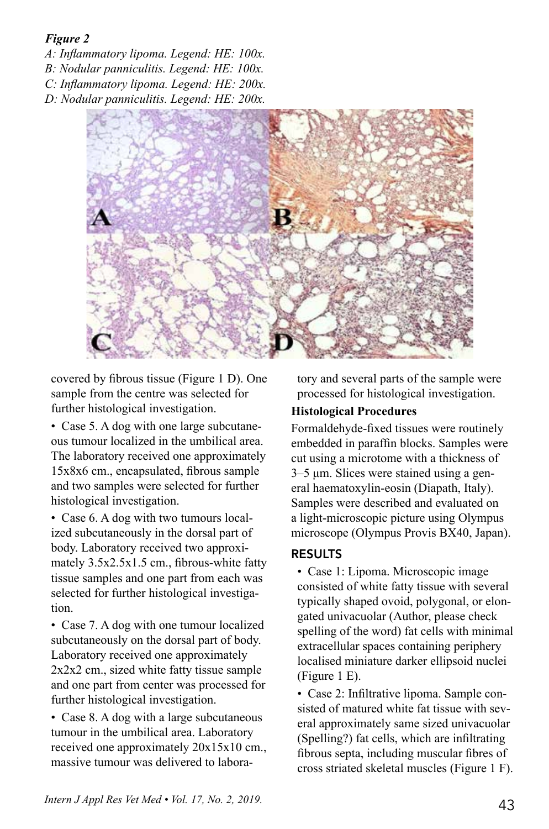## *Figure 2*

*A: Inflammatory lipoma. Legend: HE: 100x. B: Nodular panniculitis. Legend: HE: 100x.*

*C: Inflammatory lipoma. Legend: HE: 200x.*

*D: Nodular panniculitis. Legend: HE: 200x.*



covered by fibrous tissue (Figure 1 D). One sample from the centre was selected for further histological investigation.

• Case 5. A dog with one large subcutaneous tumour localized in the umbilical area. The laboratory received one approximately 15x8x6 cm., encapsulated, fibrous sample and two samples were selected for further histological investigation.

• Case 6. A dog with two tumours localized subcutaneously in the dorsal part of body. Laboratory received two approximately 3.5x2.5x1.5 cm., fibrous-white fatty tissue samples and one part from each was selected for further histological investigation.

• Case 7. A dog with one tumour localized subcutaneously on the dorsal part of body. Laboratory received one approximately 2x2x2 cm., sized white fatty tissue sample and one part from center was processed for further histological investigation.

• Case 8. A dog with a large subcutaneous tumour in the umbilical area. Laboratory received one approximately 20x15x10 cm., massive tumour was delivered to labora-

tory and several parts of the sample were processed for histological investigation.

# **Histological Procedures**

Formaldehyde-fixed tissues were routinely embedded in paraffin blocks. Samples were cut using a microtome with a thickness of 3–5 μm. Slices were stained using a general haematoxylin-eosin (Diapath, Italy). Samples were described and evaluated on a light-microscopic picture using Olympus microscope (Olympus Provis BX40, Japan).

# RESULTS

• Case 1: Lipoma. Microscopic image consisted of white fatty tissue with several typically shaped ovoid, polygonal, or elongated univacuolar (Author, please check spelling of the word) fat cells with minimal extracellular spaces containing periphery localised miniature darker ellipsoid nuclei (Figure 1 E).

• Case 2: Infiltrative lipoma. Sample consisted of matured white fat tissue with several approximately same sized univacuolar (Spelling?) fat cells, which are infiltrating fibrous septa, including muscular fibres of cross striated skeletal muscles (Figure 1 F).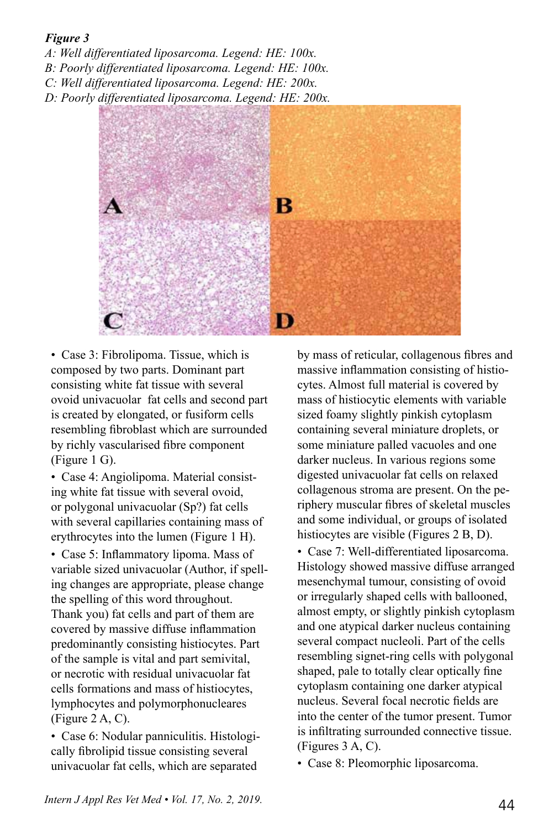### *Figure 3*

*A: Well differentiated liposarcoma. Legend: HE: 100x.*

*B: Poorly differentiated liposarcoma. Legend: HE: 100x.*

*C: Well differentiated liposarcoma. Legend: HE: 200x.*

*D: Poorly differentiated liposarcoma. Legend: HE: 200x.* 



• Case 3: Fibrolipoma. Tissue, which is composed by two parts. Dominant part consisting white fat tissue with several ovoid univacuolar fat cells and second part is created by elongated, or fusiform cells resembling fibroblast which are surrounded by richly vascularised fibre component (Figure 1 G).

• Case 4: Angiolipoma. Material consisting white fat tissue with several ovoid, or polygonal univacuolar (Sp?) fat cells with several capillaries containing mass of erythrocytes into the lumen (Figure 1 H).

• Case 5: Inflammatory lipoma. Mass of variable sized univacuolar (Author, if spelling changes are appropriate, please change the spelling of this word throughout. Thank you) fat cells and part of them are covered by massive diffuse inflammation predominantly consisting histiocytes. Part of the sample is vital and part semivital, or necrotic with residual univacuolar fat cells formations and mass of histiocytes, lymphocytes and polymorphonucleares (Figure 2 A, C).

• Case 6: Nodular panniculitis. Histologically fibrolipid tissue consisting several univacuolar fat cells, which are separated

by mass of reticular, collagenous fibres and massive inflammation consisting of histiocytes. Almost full material is covered by mass of histiocytic elements with variable sized foamy slightly pinkish cytoplasm containing several miniature droplets, or some miniature palled vacuoles and one darker nucleus. In various regions some digested univacuolar fat cells on relaxed collagenous stroma are present. On the periphery muscular fibres of skeletal muscles and some individual, or groups of isolated histiocytes are visible (Figures 2 B, D).

• Case 7: Well-differentiated liposarcoma. Histology showed massive diffuse arranged mesenchymal tumour, consisting of ovoid or irregularly shaped cells with ballooned, almost empty, or slightly pinkish cytoplasm and one atypical darker nucleus containing several compact nucleoli. Part of the cells resembling signet-ring cells with polygonal shaped, pale to totally clear optically fine cytoplasm containing one darker atypical nucleus. Several focal necrotic fields are into the center of the tumor present. Tumor is infiltrating surrounded connective tissue. (Figures 3 A, C).

• Case 8: Pleomorphic liposarcoma.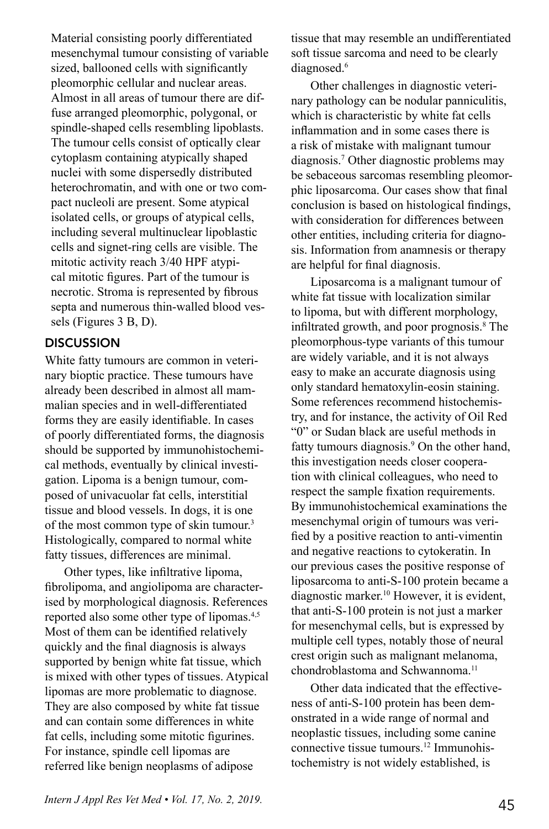Material consisting poorly differentiated mesenchymal tumour consisting of variable sized, ballooned cells with significantly pleomorphic cellular and nuclear areas. Almost in all areas of tumour there are diffuse arranged pleomorphic, polygonal, or spindle-shaped cells resembling lipoblasts. The tumour cells consist of optically clear cytoplasm containing atypically shaped nuclei with some dispersedly distributed heterochromatin, and with one or two compact nucleoli are present. Some atypical isolated cells, or groups of atypical cells, including several multinuclear lipoblastic cells and signet-ring cells are visible. The mitotic activity reach 3/40 HPF atypical mitotic figures. Part of the tumour is necrotic. Stroma is represented by fibrous septa and numerous thin-walled blood vessels (Figures 3 B, D).

## **DISCUSSION**

White fatty tumours are common in veterinary bioptic practice. These tumours have already been described in almost all mammalian species and in well-differentiated forms they are easily identifiable. In cases of poorly differentiated forms, the diagnosis should be supported by immunohistochemical methods, eventually by clinical investigation. Lipoma is a benign tumour, composed of univacuolar fat cells, interstitial tissue and blood vessels. In dogs, it is one of the most common type of skin tumour.<sup>3</sup> Histologically, compared to normal white fatty tissues, differences are minimal.

Other types, like infiltrative lipoma, fibrolipoma, and angiolipoma are characterised by morphological diagnosis. References reported also some other type of lipomas.4,5 Most of them can be identified relatively quickly and the final diagnosis is always supported by benign white fat tissue, which is mixed with other types of tissues. Atypical lipomas are more problematic to diagnose. They are also composed by white fat tissue and can contain some differences in white fat cells, including some mitotic figurines. For instance, spindle cell lipomas are referred like benign neoplasms of adipose

tissue that may resemble an undifferentiated soft tissue sarcoma and need to be clearly diagnosed.<sup>6</sup>

Other challenges in diagnostic veterinary pathology can be nodular panniculitis, which is characteristic by white fat cells inflammation and in some cases there is a risk of mistake with malignant tumour diagnosis.7 Other diagnostic problems may be sebaceous sarcomas resembling pleomorphic liposarcoma. Our cases show that final conclusion is based on histological findings, with consideration for differences between other entities, including criteria for diagnosis. Information from anamnesis or therapy are helpful for final diagnosis.

Liposarcoma is a malignant tumour of white fat tissue with localization similar to lipoma, but with different morphology, infiltrated growth, and poor prognosis.<sup>8</sup> The pleomorphous-type variants of this tumour are widely variable, and it is not always easy to make an accurate diagnosis using only standard hematoxylin-eosin staining. Some references recommend histochemistry, and for instance, the activity of Oil Red "0" or Sudan black are useful methods in fatty tumours diagnosis.<sup>9</sup> On the other hand, this investigation needs closer cooperation with clinical colleagues, who need to respect the sample fixation requirements. By immunohistochemical examinations the mesenchymal origin of tumours was verified by a positive reaction to anti-vimentin and negative reactions to cytokeratin. In our previous cases the positive response of liposarcoma to anti-S-100 protein became a diagnostic marker.10 However, it is evident, that anti-S-100 protein is not just a marker for mesenchymal cells, but is expressed by multiple cell types, notably those of neural crest origin such as malignant melanoma, chondroblastoma and Schwannoma.<sup>11</sup>

Other data indicated that the effectiveness of anti-S-100 protein has been demonstrated in a wide range of normal and neoplastic tissues, including some canine connective tissue tumours.12 Immunohistochemistry is not widely established, is